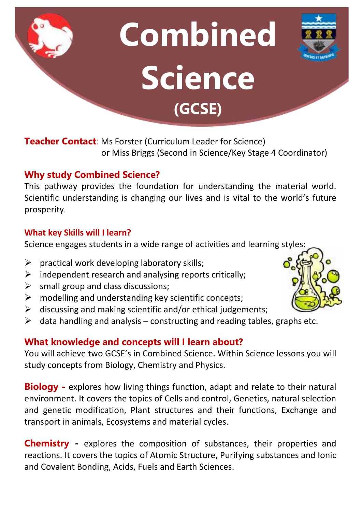# **Combined Science (GCSE)**

**Teacher Contact**: Ms Forster (Curriculum Leader for Science) or Miss Briggs (Second in Science/Key Stage 4 Coordinator)

# **Why study Combined Science?**

This pathway provides the foundation for understanding the material world. Scientific understanding is changing our lives and is vital to the world's future prosperity.

## **What key Skills will I learn?**

Science engages students in a wide range of activities and learning styles:

- $\triangleright$  practical work developing laboratory skills;
- $\triangleright$  independent research and analysing reports critically;
- $\triangleright$  small group and class discussions;
- $\triangleright$  modelling and understanding key scientific concepts;
- $\triangleright$  discussing and making scientific and/or ethical judgements;
- $\triangleright$  data handling and analysis constructing and reading tables, graphs etc.

# **What knowledge and concepts will I learn about?**

You will achieve two GCSE's in Combined Science. Within Science lessons you will study concepts from Biology, Chemistry and Physics.

**Biology -** explores how living things function, adapt and relate to their natural environment. It covers the topics of Cells and control, Genetics, natural selection and genetic modification, Plant structures and their functions, Exchange and transport in animals, Ecosystems and material cycles.

**Chemistry -** explores the composition of substances, their properties and reactions. It covers the topics of Atomic Structure, Purifying substances and Ionic and Covalent Bonding, Acids, Fuels and Earth Sciences.